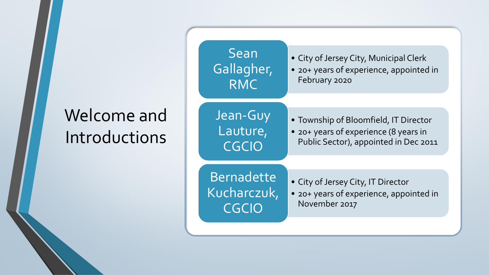#### Welcome and Introductions

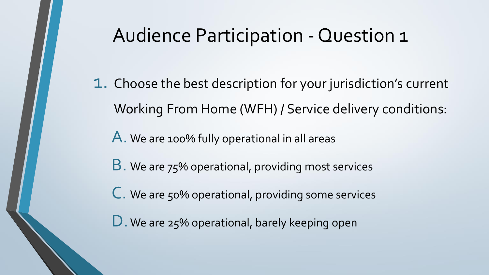#### Audience Participation - Question 1

1. Choose the best description for your jurisdiction's current Working From Home (WFH) / Service delivery conditions:

A. We are 100% fully operational in all areas

B. We are 75% operational, providing most services

C. We are 50% operational, providing some services

D. We are 25% operational, barely keeping open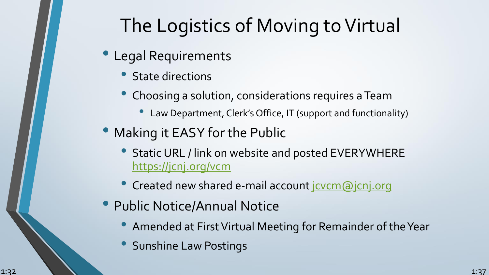# The Logistics of Moving to Virtual

- Legal Requirements
	- State directions
	- Choosing a solution, considerations requires a Team
		- Law Department, Clerk's Office, IT (support and functionality)
- Making it EASY for the Public
	- Static URL / link on website and posted EVERYWHERE <https://jcnj.org/vcm>
	- Created new shared e-mail account jovem@jcnj.org
- Public Notice/Annual Notice
	- Amended at First Virtual Meeting for Remainder of the Year
	- Sunshine Law Postings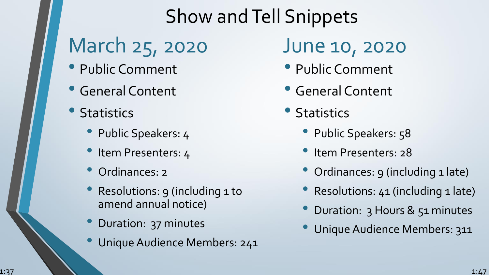#### Show and Tell Snippets

# March 25, 2020

- Public Comment
- General Content
- **Statistics** 
	- Public Speakers: 4
	- Item Presenters: 4
	- Ordinances: 2
	- Resolutions: 9 (including 1 to amend annual notice)
	- Duration: 37 minutes
	- Unique Audience Members: 241

#### June 10, 2020

- Public Comment
- General Content
- Statistics
	- Public Speakers: 58
	- Item Presenters: 28
	- Ordinances: 9 (including 1 late)
	- Resolutions: 41 (including 1 late)
	- Duration: 3 Hours & 51 minutes
	- Unique Audience Members: 311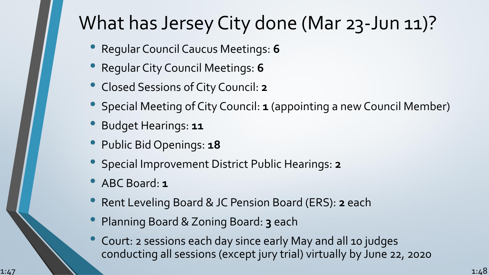#### What has Jersey City done (Mar 23-Jun 11)?

- Regular Council Caucus Meetings: **<sup>6</sup>**
- Regular City Council Meetings: **<sup>6</sup>**
- Closed Sessions of City Council: **<sup>2</sup>**
- Special Meeting of City Council: **<sup>1</sup>** (appointing a new Council Member)
- Budget Hearings: **<sup>11</sup>**
- Public Bid Openings: **<sup>18</sup>**
- Special Improvement District Public Hearings: **<sup>2</sup>**
- ABC Board: **<sup>1</sup>**
- Rent Leveling Board & JC Pension Board (ERS): **<sup>2</sup>** each
- Planning Board & Zoning Board: **<sup>3</sup>** each
- Court: 2 sessions each day since early May and all 10 judges conducting all sessions (except jury trial) virtually by June 22, 2020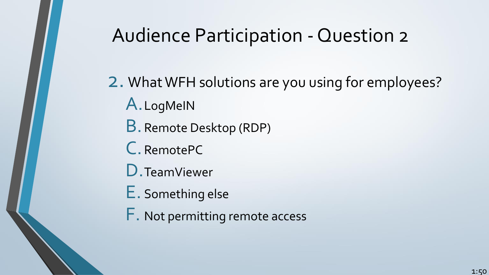#### Audience Participation - Question 2

2. What WFH solutions are you using for employees? A.LogMeIN B.Remote Desktop (RDP)

- C. RemotePC
- D.TeamViewer
- E. Something else
- F. Not permitting remote access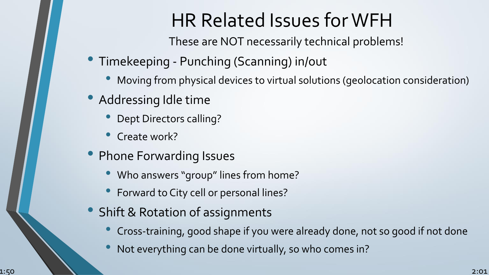#### HR Related Issues for WFH

These are NOT necessarily technical problems!

- Timekeeping Punching (Scanning) in/out
	- Moving from physical devices to virtual solutions (geolocation consideration)
- Addressing Idle time
	- Dept Directors calling?
	- Create work?
- Phone Forwarding Issues
	- Who answers "group" lines from home?
	- Forward to City cell or personal lines?
- Shift & Rotation of assignments
	- Cross-training, good shape if you were already done, not so good if not done
	- Not everything can be done virtually, so who comes in?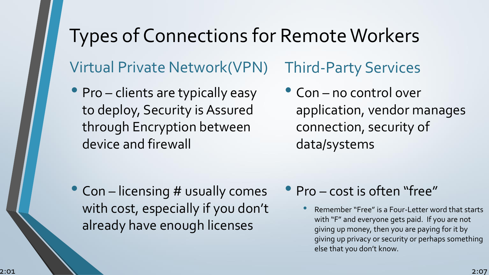#### Types of Connections for Remote Workers Virtual Private Network(VPN) Third-Party Services

- Pro clients are typically easy to deploy, Security is Assured through Encryption between device and firewall
- Con no control over application, vendor manages connection, security of data/systems

- Con licensing # usually comes with cost, especially if you don't already have enough licenses
- Pro cost is often "free"
	- Remember "Free" is a Four-Letter word that starts with "F" and everyone gets paid. If you are not giving up money, then you are paying for it by giving up privacy or security or perhaps something else that you don't know.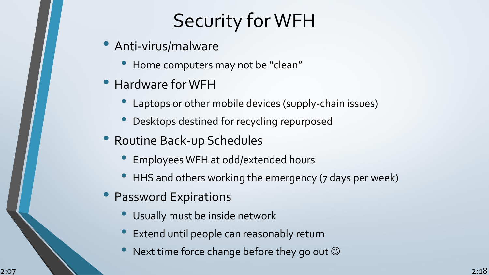### Security for WFH

- Anti-virus/malware
	- Home computers may not be "clean"
- Hardware for WFH
	- Laptops or other mobile devices (supply-chain issues)
	- Desktops destined for recycling repurposed
- Routine Back-up Schedules
	- Employees WFH at odd/extended hours
	- HHS and others working the emergency (7 days per week)
- Password Expirations
	- Usually must be inside network
	- Extend until people can reasonably return
	- Next time force change before they go out  $\odot$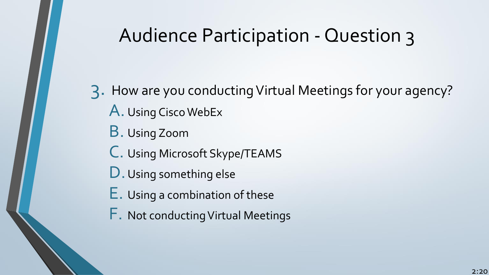#### Audience Participation - Question 3

3. How are you conducting Virtual Meetings for your agency? A. Using Cisco WebEx B. Using Zoom C. Using Microsoft Skype/TEAMS D. Using something else E. Using a combination of these F. Not conducting Virtual Meetings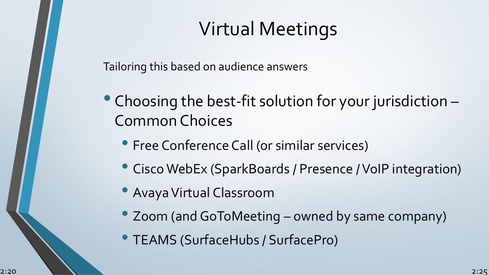# Virtual Meetings

Tailoring this based on audience answers

- Choosing the best-fit solution for your jurisdiction Common Choices
	- Free Conference Call (or similar services)
	- Cisco WebEx (SparkBoards / Presence / VoIP integration)
	- Avaya Virtual Classroom
	- Zoom (and GoToMeeting owned by same company)
	- TEAMS (SurfaceHubs / SurfacePro)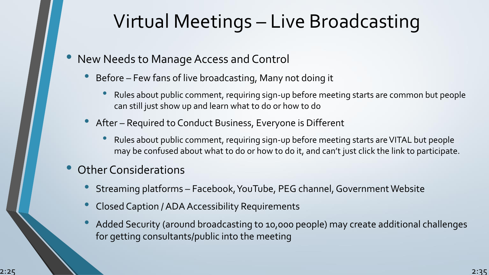#### Virtual Meetings – Live Broadcasting

- New Needs to Manage Access and Control
	- Before Few fans of live broadcasting, Many not doing it
		- Rules about public comment, requiring sign-up before meeting starts are common but people can still just show up and learn what to do or how to do
	- After Required to Conduct Business, Everyone is Different
		- Rules about public comment, requiring sign-up before meeting starts are VITAL but people may be confused about what to do or how to do it, and can't just click the link to participate.
- Other Considerations
	- Streaming platforms Facebook, YouTube, PEG channel, Government Website
	- Closed Caption / ADA Accessibility Requirements
	- Added Security (around broadcasting to 10,000 people) may create additional challenges for getting consultants/public into the meeting